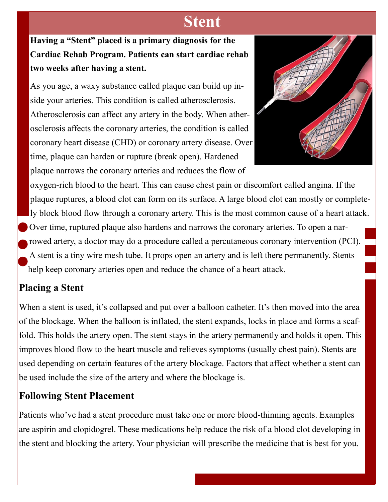# **Stent**

**Having a "Stent" placed is a primary diagnosis for the Cardiac Rehab Program. Patients can start cardiac rehab two weeks after having a stent.**

As you age, a waxy substance called plaque can build up inside your arteries. This condition is called atherosclerosis. Atherosclerosis can affect any artery in the body. When atherosclerosis affects the coronary arteries, the condition is called coronary heart disease (CHD) or coronary artery disease. Over time, plaque can harden or rupture (break open). Hardened plaque narrows the coronary arteries and reduces the flow of



oxygen-rich blood to the heart. This can cause chest pain or discomfort called angina. If the plaque ruptures, a blood clot can form on its surface. A large blood clot can mostly or completely block blood flow through a coronary artery. This is the most common cause of a heart attack. Over time, ruptured plaque also hardens and narrows the coronary arteries. To open a narrowed artery, a doctor may do a procedure called a percutaneous coronary intervention (PCI). A stent is a tiny wire mesh tube. It props open an artery and is left there permanently. Stents help keep coronary arteries open and reduce the chance of a heart attack.

#### **Placing a Stent**

When a stent is used, it's collapsed and put over a balloon catheter. It's then moved into the area of the blockage. When the balloon is inflated, the stent expands, locks in place and forms a scaffold. This holds the artery open. The stent stays in the artery permanently and holds it open. This improves blood flow to the heart muscle and relieves symptoms (usually chest pain). Stents are used depending on certain features of the artery blockage. Factors that affect whether a stent can be used include the size of the artery and where the blockage is.

## **Following Stent Placement**

Patients who've had a stent procedure must take one or more blood-thinning agents. Examples are aspirin and clopidogrel. These medications help reduce the risk of a blood clot developing in the stent and blocking the artery. Your physician will prescribe the medicine that is best for you.